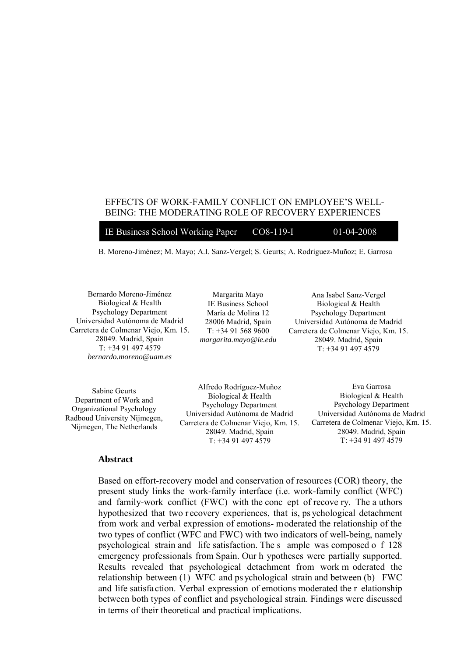## EFFECTS OF WORK-FAMILY CONFLICT ON EMPLOYEE'S WELL-BEING: THE MODERATING ROLE OF RECOVERY EXPERIENCES

| IE Business School Working Paper | $CO8-119-I$ | $01 - 04 - 2008$ |
|----------------------------------|-------------|------------------|
|                                  |             |                  |

B. Moreno-Jiménez; M. Mayo; A.I. Sanz-Vergel; S. Geurts; A. Rodríguez-Muñoz; E. Garrosa

Bernardo Moreno-Jiménez Biological & Health Psychology Department Universidad Autónoma de Madrid Carretera de Colmenar Viejo, Km. 15. 28049. Madrid, Spain  $T: +34914974579$ *bernardo.moreno@uam.es* 

Margarita Mayo IE Business School María de Molina 12 28006 Madrid, Spain  $T: +34915689600$ *margarita.mayo@ie.edu* 

Ana Isabel Sanz-Vergel Biological & Health Psychology Department Universidad Autónoma de Madrid Carretera de Colmenar Viejo, Km. 15. 28049. Madrid, Spain T: +34 91 497 4579

Sabine Geurts Department of Work and Organizational Psychology Radboud University Nijmegen, Nijmegen, The Netherlands

Alfredo Rodríguez-Muñoz Biological & Health Psychology Department Universidad Autónoma de Madrid Carretera de Colmenar Viejo, Km. 15. 28049. Madrid, Spain  $T: +34914974579$ 

Eva Garrosa Biological & Health Psychology Department Universidad Autónoma de Madrid Carretera de Colmenar Viejo, Km. 15. 28049. Madrid, Spain T: +34 91 497 4579

# **Abstract**

 present study links the work-family interface (i.e. work-family conflict (WFC) Based on effort-recovery model and conservation of resources (COR) theory, the and family-work conflict (FWC) with the conc ept of recove ry. The a uthors hypothesized that two r ecovery experiences, that is, ps ychological detachment from work and verbal expression of emotions- moderated the relationship of the two types of conflict (WFC and FWC) with two indicators of well-being, namely psychological strain and life satisfaction. The s ample was composed o f 128 emergency professionals from Spain. Our h ypotheses were partially supported. Results revealed that psychological detachment from work m oderated the relationship between (1) WFC and ps ychological strain and between (b) FWC and life satisfaction. Verbal expression of emotions moderated the r elationship between both types of conflict and psychological strain. Findings were discussed in terms of their theoretical and practical implications.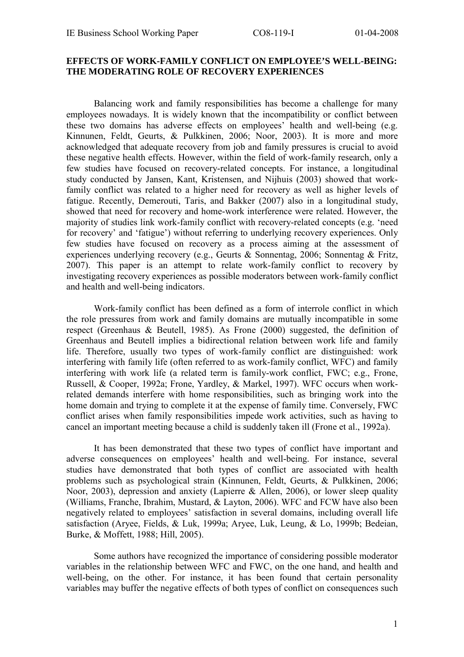# **EFFECTS OF WORK-FAMILY CONFLICT ON EMPLOYEE'S WELL-BEING: THE MODERATING ROLE OF RECOVERY EXPERIENCES**

Balancing work and family responsibilities has become a challenge for many employees nowadays. It is widely known that the incompatibility or conflict between these two domains has adverse effects on employees' health and well-being (e.g. Kinnunen, Feldt, Geurts, & Pulkkinen, 2006; Noor, 2003). It is more and more acknowledged that adequate recovery from job and family pressures is crucial to avoid these negative health effects. However, within the field of work-family research, only a few studies have focused on recovery-related concepts. For instance, a longitudinal study conducted by Jansen, Kant, Kristensen, and Nijhuis (2003) showed that workfamily conflict was related to a higher need for recovery as well as higher levels of fatigue. Recently, Demerouti, Taris, and Bakker (2007) also in a longitudinal study, showed that need for recovery and home-work interference were related. However, the majority of studies link work-family conflict with recovery-related concepts (e.g. ëneed for recovery' and 'fatigue') without referring to underlying recovery experiences. Only few studies have focused on recovery as a process aiming at the assessment of experiences underlying recovery (e.g., Geurts  $\&$  Sonnentag, 2006; Sonnentag  $\&$  Fritz, 2007). This paper is an attempt to relate work-family conflict to recovery by investigating recovery experiences as possible moderators between work-family conflict and health and well-being indicators.

Work-family conflict has been defined as a form of interrole conflict in which the role pressures from work and family domains are mutually incompatible in some respect (Greenhaus & Beutell, 1985). As Frone (2000) suggested, the definition of Greenhaus and Beutell implies a bidirectional relation between work life and family life. Therefore, usually two types of work-family conflict are distinguished: work interfering with family life (often referred to as work-family conflict, WFC) and family interfering with work life (a related term is family-work conflict, FWC; e.g., Frone, Russell, & Cooper, 1992a; Frone, Yardley, & Markel, 1997). WFC occurs when workrelated demands interfere with home responsibilities, such as bringing work into the home domain and trying to complete it at the expense of family time. Conversely, FWC conflict arises when family responsibilities impede work activities, such as having to cancel an important meeting because a child is suddenly taken ill (Frone et al., 1992a).

It has been demonstrated that these two types of conflict have important and adverse consequences on employees' health and well-being. For instance, several studies have demonstrated that both types of conflict are associated with health problems such as psychological strain (Kinnunen, Feldt, Geurts, & Pulkkinen, 2006; Noor, 2003), depression and anxiety (Lapierre & Allen, 2006), or lower sleep quality (Williams, Franche, Ibrahim, Mustard, & Layton, 2006). WFC and FCW have also been negatively related to employees' satisfaction in several domains, including overall life satisfaction (Aryee, Fields, & Luk, 1999a; Aryee, Luk, Leung, & Lo, 1999b; Bedeian, Burke, & Moffett, 1988; Hill, 2005).

Some authors have recognized the importance of considering possible moderator variables in the relationship between WFC and FWC, on the one hand, and health and well-being, on the other. For instance, it has been found that certain personality variables may buffer the negative effects of both types of conflict on consequences such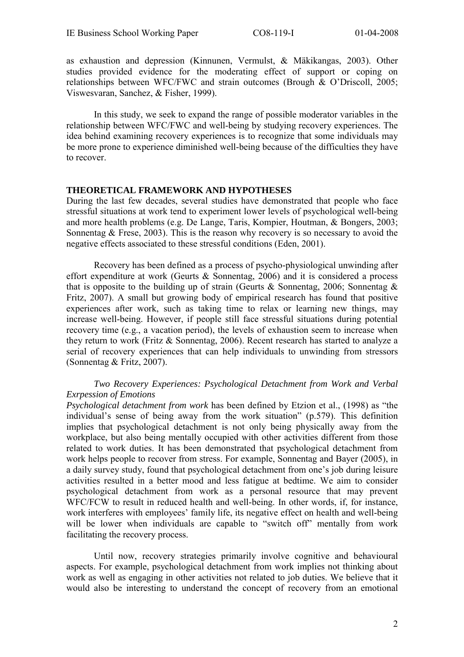as exhaustion and depression (Kinnunen, Vermulst, & Mäkikangas, 2003). Other studies provided evidence for the moderating effect of support or coping on relationships between WFC/FWC and strain outcomes (Brough  $\&$  O'Driscoll, 2005; Viswesvaran, Sanchez, & Fisher, 1999).

In this study, we seek to expand the range of possible moderator variables in the relationship between WFC/FWC and well-being by studying recovery experiences. The idea behind examining recovery experiences is to recognize that some individuals may be more prone to experience diminished well-being because of the difficulties they have to recover.

### **THEORETICAL FRAMEWORK AND HYPOTHESES**

During the last few decades, several studies have demonstrated that people who face stressful situations at work tend to experiment lower levels of psychological well-being and more health problems (e.g. De Lange, Taris, Kompier, Houtman, & Bongers, 2003; Sonnentag  $&$  Frese, 2003). This is the reason why recovery is so necessary to avoid the negative effects associated to these stressful conditions (Eden, 2001).

Recovery has been defined as a process of psycho-physiological unwinding after effort expenditure at work (Geurts & Sonnentag, 2006) and it is considered a process that is opposite to the building up of strain (Geurts & Sonnentag, 2006; Sonnentag & Fritz, 2007). A small but growing body of empirical research has found that positive experiences after work, such as taking time to relax or learning new things, may increase well-being. However, if people still face stressful situations during potential recovery time (e.g., a vacation period), the levels of exhaustion seem to increase when they return to work (Fritz & Sonnentag, 2006). Recent research has started to analyze a serial of recovery experiences that can help individuals to unwinding from stressors (Sonnentag & Fritz, 2007).

# *Two Recovery Experiences: Psychological Detachment from Work and Verbal Exrpession of Emotions*

*Psychological detachment from work* has been defined by Etzion et al., (1998) as "the individual's sense of being away from the work situation"  $(p.579)$ . This definition implies that psychological detachment is not only being physically away from the workplace, but also being mentally occupied with other activities different from those related to work duties. It has been demonstrated that psychological detachment from work helps people to recover from stress. For example, Sonnentag and Bayer (2005), in a daily survey study, found that psychological detachment from one's job during leisure activities resulted in a better mood and less fatigue at bedtime. We aim to consider psychological detachment from work as a personal resource that may prevent WFC/FCW to result in reduced health and well-being. In other words, if, for instance, work interferes with employees' family life, its negative effect on health and well-being will be lower when individuals are capable to "switch off" mentally from work facilitating the recovery process.

Until now, recovery strategies primarily involve cognitive and behavioural aspects. For example, psychological detachment from work implies not thinking about work as well as engaging in other activities not related to job duties. We believe that it would also be interesting to understand the concept of recovery from an emotional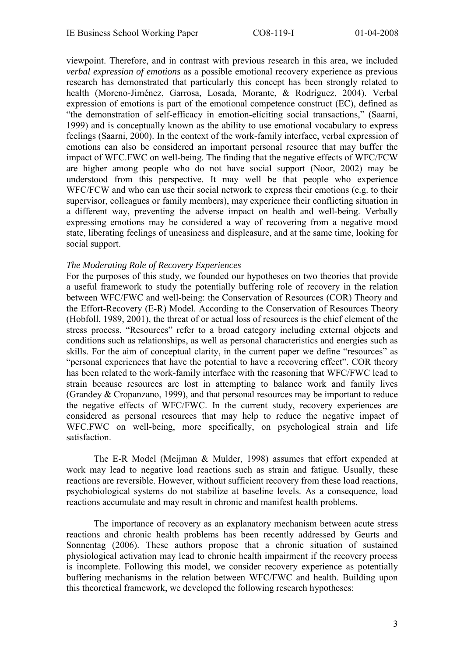viewpoint. Therefore, and in contrast with previous research in this area, we included *verbal expression of emotions* as a possible emotional recovery experience as previous research has demonstrated that particularly this concept has been strongly related to health (Moreno-Jiménez, Garrosa, Losada, Morante, & Rodríguez, 2004). Verbal expression of emotions is part of the emotional competence construct (EC), defined as "the demonstration of self-efficacy in emotion-eliciting social transactions," (Saarni, 1999) and is conceptually known as the ability to use emotional vocabulary to express feelings (Saarni, 2000). In the context of the work-family interface, verbal expression of emotions can also be considered an important personal resource that may buffer the impact of WFC.FWC on well-being. The finding that the negative effects of WFC/FCW are higher among people who do not have social support (Noor, 2002) may be understood from this perspective. It may well be that people who experience WFC/FCW and who can use their social network to express their emotions (e.g. to their supervisor, colleagues or family members), may experience their conflicting situation in a different way, preventing the adverse impact on health and well-being. Verbally expressing emotions may be considered a way of recovering from a negative mood state, liberating feelings of uneasiness and displeasure, and at the same time, looking for social support.

#### *The Moderating Role of Recovery Experiences*

For the purposes of this study, we founded our hypotheses on two theories that provide a useful framework to study the potentially buffering role of recovery in the relation between WFC/FWC and well-being: the Conservation of Resources (COR) Theory and the Effort-Recovery (E-R) Model. According to the Conservation of Resources Theory (Hobfoll, 1989, 2001), the threat of or actual loss of resources is the chief element of the stress process. "Resources" refer to a broad category including external objects and conditions such as relationships, as well as personal characteristics and energies such as skills. For the aim of conceptual clarity, in the current paper we define "resources" as "personal experiences that have the potential to have a recovering effect". COR theory has been related to the work-family interface with the reasoning that WFC/FWC lead to strain because resources are lost in attempting to balance work and family lives (Grandey & Cropanzano, 1999), and that personal resources may be important to reduce the negative effects of WFC/FWC. In the current study, recovery experiences are considered as personal resources that may help to reduce the negative impact of WFC.FWC on well-being, more specifically, on psychological strain and life satisfaction.

The E-R Model (Meijman & Mulder, 1998) assumes that effort expended at work may lead to negative load reactions such as strain and fatigue. Usually, these reactions are reversible. However, without sufficient recovery from these load reactions, psychobiological systems do not stabilize at baseline levels. As a consequence, load reactions accumulate and may result in chronic and manifest health problems.

The importance of recovery as an explanatory mechanism between acute stress reactions and chronic health problems has been recently addressed by Geurts and Sonnentag (2006). These authors propose that a chronic situation of sustained physiological activation may lead to chronic health impairment if the recovery process is incomplete. Following this model, we consider recovery experience as potentially buffering mechanisms in the relation between WFC/FWC and health. Building upon this theoretical framework, we developed the following research hypotheses: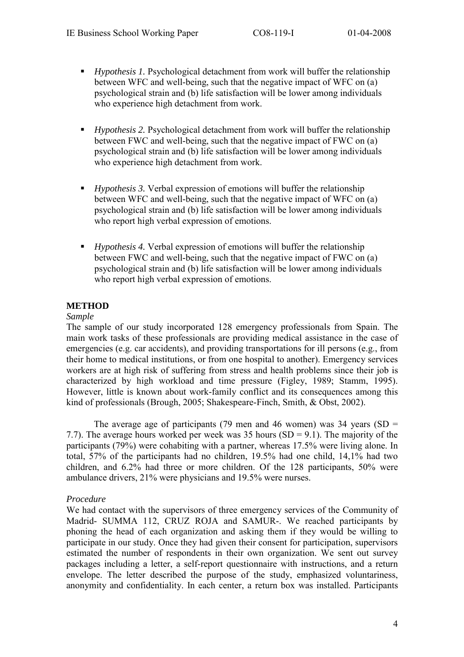- ! *Hypothesis 1.* Psychological detachment from work will buffer the relationship between WFC and well-being, such that the negative impact of WFC on (a) psychological strain and (b) life satisfaction will be lower among individuals who experience high detachment from work.
- ! *Hypothesis 2.* Psychological detachment from work will buffer the relationship between FWC and well-being, such that the negative impact of FWC on (a) psychological strain and (b) life satisfaction will be lower among individuals who experience high detachment from work.
- ! *Hypothesis 3.* Verbal expression of emotions will buffer the relationship between WFC and well-being, such that the negative impact of WFC on (a) psychological strain and (b) life satisfaction will be lower among individuals who report high verbal expression of emotions.
- ! *Hypothesis 4.* Verbal expression of emotions will buffer the relationship between FWC and well-being, such that the negative impact of FWC on (a) psychological strain and (b) life satisfaction will be lower among individuals who report high verbal expression of emotions.

# **METHOD**

### *Sample*

The sample of our study incorporated 128 emergency professionals from Spain. The main work tasks of these professionals are providing medical assistance in the case of emergencies (e.g. car accidents), and providing transportations for ill persons (e.g., from their home to medical institutions, or from one hospital to another). Emergency services workers are at high risk of suffering from stress and health problems since their job is characterized by high workload and time pressure (Figley, 1989; Stamm, 1995). However, little is known about work-family conflict and its consequences among this kind of professionals (Brough, 2005; Shakespeare-Finch, Smith, & Obst, 2002).

The average age of participants (79 men and 46 women) was 34 years (SD = 7.7). The average hours worked per week was 35 hours  $(SD = 9.1)$ . The majority of the participants (79%) were cohabiting with a partner, whereas 17.5% were living alone. In total, 57% of the participants had no children, 19.5% had one child, 14,1% had two children, and 6.2% had three or more children. Of the 128 participants, 50% were ambulance drivers, 21% were physicians and 19.5% were nurses.

### *Procedure*

We had contact with the supervisors of three emergency services of the Community of Madrid- SUMMA 112, CRUZ ROJA and SAMUR-. We reached participants by phoning the head of each organization and asking them if they would be willing to participate in our study. Once they had given their consent for participation, supervisors estimated the number of respondents in their own organization. We sent out survey packages including a letter, a self-report questionnaire with instructions, and a return envelope. The letter described the purpose of the study, emphasized voluntariness, anonymity and confidentiality. In each center, a return box was installed. Participants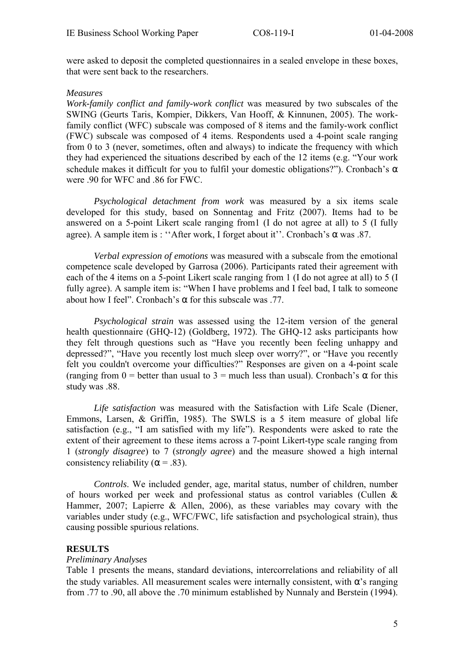were asked to deposit the completed questionnaires in a sealed envelope in these boxes, that were sent back to the researchers.

#### *Measures*

*Work-family conflict and family-work conflict* was measured by two subscales of the SWING (Geurts Taris, Kompier, Dikkers, Van Hooff, & Kinnunen, 2005). The workfamily conflict (WFC) subscale was composed of 8 items and the family-work conflict (FWC) subscale was composed of 4 items. Respondents used a 4-point scale ranging from 0 to 3 (never, sometimes, often and always) to indicate the frequency with which they had experienced the situations described by each of the 12 items (e.g. "Your work schedule makes it difficult for you to fulfil your domestic obligations?"). Cronbach's  $\alpha$ were .90 for WFC and .86 for FWC.

*Psychological detachment from work* was measured by a six items scale developed for this study, based on Sonnentag and Fritz (2007). Items had to be answered on a 5-point Likert scale ranging from1 (I do not agree at all) to 5 (I fully agree). A sample item is : "After work, I forget about it". Cronbach's  $\alpha$  was .87.

*Verbal expression of emotions* was measured with a subscale from the emotional competence scale developed by Garrosa (2006). Participants rated their agreement with each of the 4 items on a 5-point Likert scale ranging from 1 (I do not agree at all) to 5 (I fully agree). A sample item is: "When I have problems and I feel bad, I talk to someone about how I feel". Cronbach's  $\alpha$  for this subscale was .77.

*Psychological strain* was assessed using the 12-item version of the general health questionnaire (GHQ-12) (Goldberg, 1972). The GHQ-12 asks participants how they felt through questions such as "Have you recently been feeling unhappy and depressed?", "Have you recently lost much sleep over worry?", or "Have you recently felt you couldn't overcome your difficulties?" Responses are given on a 4-point scale (ranging from 0 = better than usual to 3 = much less than usual). Cronbach's  $\alpha$  for this study was .88.

*Life satisfaction* was measured with the Satisfaction with Life Scale (Diener, Emmons, Larsen, & Griffin, 1985). The SWLS is a 5 item measure of global life satisfaction (e.g., "I am satisfied with my life"). Respondents were asked to rate the extent of their agreement to these items across a 7-point Likert-type scale ranging from 1 (*strongly disagree*) to 7 (*strongly agree*) and the measure showed a high internal consistency reliability ( $\alpha$  = .83).

*Controls*. We included gender, age, marital status, number of children, number of hours worked per week and professional status as control variables (Cullen & Hammer, 2007; Lapierre & Allen, 2006), as these variables may covary with the variables under study (e.g., WFC/FWC, life satisfaction and psychological strain), thus causing possible spurious relations.

#### **RESULTS**

# *Preliminary Analyses*

Table 1 presents the means, standard deviations, intercorrelations and reliability of all the study variables. All measurement scales were internally consistent, with  $\alpha$ 's ranging from .77 to .90, all above the .70 minimum established by Nunnaly and Berstein (1994).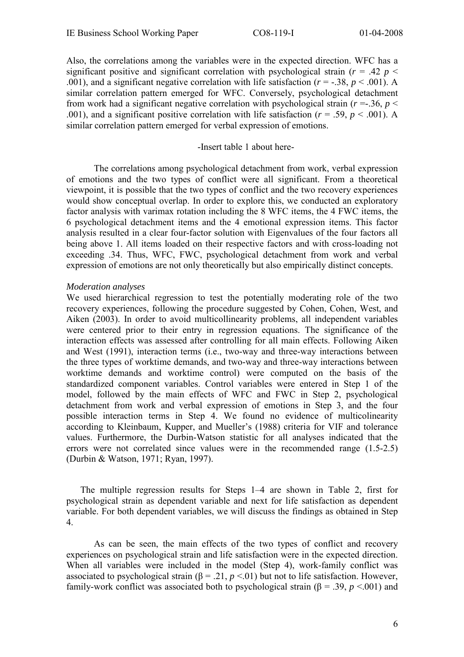Also, the correlations among the variables were in the expected direction. WFC has a significant positive and significant correlation with psychological strain ( $r = .42$  *p*  $\lt$ .001), and a significant negative correlation with life satisfaction ( $r = -.38$ ,  $p < .001$ ). A similar correlation pattern emerged for WFC. Conversely, psychological detachment from work had a significant negative correlation with psychological strain ( $r = 0.36$ ,  $p <$ .001), and a significant positive correlation with life satisfaction ( $r = .59$ ,  $p < .001$ ). A similar correlation pattern emerged for verbal expression of emotions.

#### -Insert table 1 about here-

The correlations among psychological detachment from work, verbal expression of emotions and the two types of conflict were all significant. From a theoretical viewpoint, it is possible that the two types of conflict and the two recovery experiences would show conceptual overlap. In order to explore this, we conducted an exploratory factor analysis with varimax rotation including the 8 WFC items, the 4 FWC items, the 6 psychological detachment items and the 4 emotional expression items. This factor analysis resulted in a clear four-factor solution with Eigenvalues of the four factors all being above 1. All items loaded on their respective factors and with cross-loading not exceeding .34. Thus, WFC, FWC, psychological detachment from work and verbal expression of emotions are not only theoretically but also empirically distinct concepts.

### *Moderation analyses*

We used hierarchical regression to test the potentially moderating role of the two recovery experiences, following the procedure suggested by Cohen, Cohen, West, and Aiken (2003). In order to avoid multicollinearity problems, all independent variables were centered prior to their entry in regression equations. The significance of the interaction effects was assessed after controlling for all main effects. Following Aiken and West (1991), interaction terms (i.e., two-way and three-way interactions between the three types of worktime demands, and two-way and three-way interactions between worktime demands and worktime control) were computed on the basis of the standardized component variables. Control variables were entered in Step 1 of the model, followed by the main effects of WFC and FWC in Step 2, psychological detachment from work and verbal expression of emotions in Step 3, and the four possible interaction terms in Step 4. We found no evidence of multicolinearity according to Kleinbaum, Kupper, and Mueller's (1988) criteria for VIF and tolerance values. Furthermore, the Durbin-Watson statistic for all analyses indicated that the errors were not correlated since values were in the recommended range  $(1.5-2.5)$ (Durbin & Watson, 1971; Ryan, 1997).

The multiple regression results for Steps  $1-4$  are shown in Table 2, first for psychological strain as dependent variable and next for life satisfaction as dependent variable. For both dependent variables, we will discuss the findings as obtained in Step 4.

As can be seen, the main effects of the two types of conflict and recovery experiences on psychological strain and life satisfaction were in the expected direction. When all variables were included in the model (Step 4), work-family conflict was associated to psychological strain  $(\beta = .21, p < .01)$  but not to life satisfaction. However, family-work conflict was associated both to psychological strain  $(6 = .39, p < .001)$  and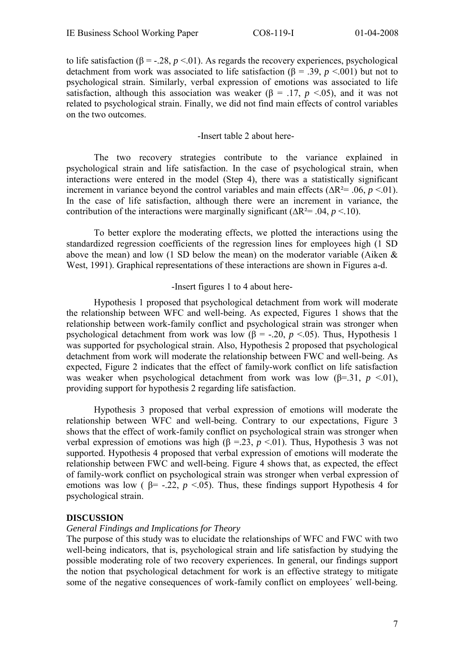to life satisfaction ( $\beta$  = -.28, *p* <.01). As regards the recovery experiences, psychological detachment from work was associated to life satisfaction ( $\beta$  = .39, *p* <.001) but not to psychological strain. Similarly, verbal expression of emotions was associated to life satisfaction, although this association was weaker ( $\beta$  = .17, *p* <.05), and it was not related to psychological strain. Finally, we did not find main effects of control variables on the two outcomes.

### -Insert table 2 about here-

The two recovery strategies contribute to the variance explained in psychological strain and life satisfaction. In the case of psychological strain, when interactions were entered in the model (Step 4), there was a statistically significant increment in variance beyond the control variables and main effects ( $\Delta R^2$ = .06, *p* <.01). In the case of life satisfaction, although there were an increment in variance, the contribution of the interactions were marginally significant ( $\Delta R^2$ = .04, *p* <.10).

To better explore the moderating effects, we plotted the interactions using the standardized regression coefficients of the regression lines for employees high (1 SD above the mean) and low (1 SD below the mean) on the moderator variable (Aiken  $\&$ West, 1991). Graphical representations of these interactions are shown in Figures a-d.

### -Insert figures 1 to 4 about here-

Hypothesis 1 proposed that psychological detachment from work will moderate the relationship between WFC and well-being. As expected, Figures 1 shows that the relationship between work-family conflict and psychological strain was stronger when psychological detachment from work was low ( $\beta$  = -.20, *p* <.05). Thus, Hypothesis 1 was supported for psychological strain. Also, Hypothesis 2 proposed that psychological detachment from work will moderate the relationship between FWC and well-being. As expected, Figure 2 indicates that the effect of family-work conflict on life satisfaction was weaker when psychological detachment from work was low  $(\beta = .31, p \le .01)$ , providing support for hypothesis 2 regarding life satisfaction.

Hypothesis 3 proposed that verbal expression of emotions will moderate the relationship between WFC and well-being. Contrary to our expectations, Figure 3 shows that the effect of work-family conflict on psychological strain was stronger when verbal expression of emotions was high  $(\beta = 23, p \le 01)$ . Thus, Hypothesis 3 was not supported. Hypothesis 4 proposed that verbal expression of emotions will moderate the relationship between FWC and well-being. Figure 4 shows that, as expected, the effect of family-work conflict on psychological strain was stronger when verbal expression of emotions was low ( $\beta$ = -.22, *p* <.05). Thus, these findings support Hypothesis 4 for psychological strain.

# **DISCUSSION**

### *General Findings and Implications for Theory*

The purpose of this study was to elucidate the relationships of WFC and FWC with two well-being indicators, that is, psychological strain and life satisfaction by studying the possible moderating role of two recovery experiences. In general, our findings support the notion that psychological detachment for work is an effective strategy to mitigate some of the negative consequences of work-family conflict on employees' well-being.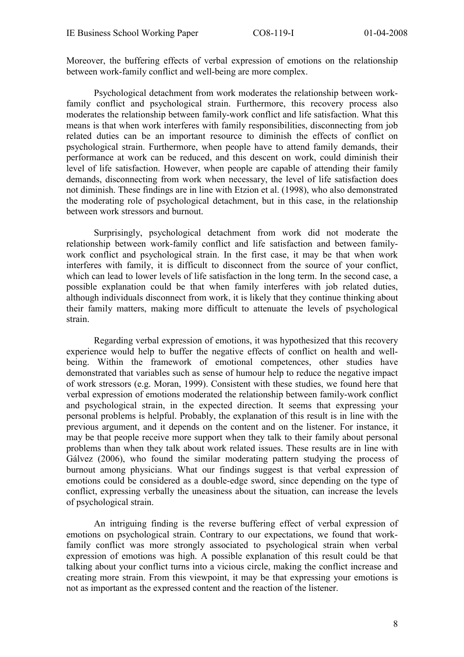Moreover, the buffering effects of verbal expression of emotions on the relationship between work-family conflict and well-being are more complex.

Psychological detachment from work moderates the relationship between workfamily conflict and psychological strain. Furthermore, this recovery process also moderates the relationship between family-work conflict and life satisfaction. What this means is that when work interferes with family responsibilities, disconnecting from job related duties can be an important resource to diminish the effects of conflict on psychological strain. Furthermore, when people have to attend family demands, their performance at work can be reduced, and this descent on work, could diminish their level of life satisfaction. However, when people are capable of attending their family demands, disconnecting from work when necessary, the level of life satisfaction does not diminish. These findings are in line with Etzion et al. (1998), who also demonstrated the moderating role of psychological detachment, but in this case, in the relationship between work stressors and burnout.

Surprisingly, psychological detachment from work did not moderate the relationship between work-family conflict and life satisfaction and between familywork conflict and psychological strain. In the first case, it may be that when work interferes with family, it is difficult to disconnect from the source of your conflict, which can lead to lower levels of life satisfaction in the long term. In the second case, a possible explanation could be that when family interferes with job related duties, although individuals disconnect from work, it is likely that they continue thinking about their family matters, making more difficult to attenuate the levels of psychological strain.

Regarding verbal expression of emotions, it was hypothesized that this recovery experience would help to buffer the negative effects of conflict on health and wellbeing. Within the framework of emotional competences, other studies have demonstrated that variables such as sense of humour help to reduce the negative impact of work stressors (e.g. Moran, 1999). Consistent with these studies, we found here that verbal expression of emotions moderated the relationship between family-work conflict and psychological strain, in the expected direction. It seems that expressing your personal problems is helpful. Probably, the explanation of this result is in line with the previous argument, and it depends on the content and on the listener. For instance, it may be that people receive more support when they talk to their family about personal problems than when they talk about work related issues. These results are in line with Gálvez (2006), who found the similar moderating pattern studying the process of burnout among physicians. What our findings suggest is that verbal expression of emotions could be considered as a double-edge sword, since depending on the type of conflict, expressing verbally the uneasiness about the situation, can increase the levels of psychological strain.

An intriguing finding is the reverse buffering effect of verbal expression of emotions on psychological strain. Contrary to our expectations, we found that workfamily conflict was more strongly associated to psychological strain when verbal expression of emotions was high. A possible explanation of this result could be that talking about your conflict turns into a vicious circle, making the conflict increase and creating more strain. From this viewpoint, it may be that expressing your emotions is not as important as the expressed content and the reaction of the listener.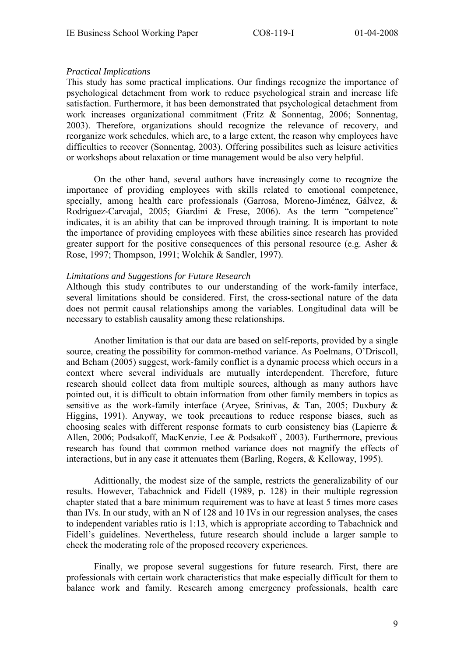### *Practical Implications*

This study has some practical implications. Our findings recognize the importance of psychological detachment from work to reduce psychological strain and increase life satisfaction. Furthermore, it has been demonstrated that psychological detachment from work increases organizational commitment (Fritz & Sonnentag, 2006; Sonnentag, 2003). Therefore, organizations should recognize the relevance of recovery, and reorganize work schedules, which are, to a large extent, the reason why employees have difficulties to recover (Sonnentag, 2003). Offering possibilites such as leisure activities or workshops about relaxation or time management would be also very helpful.

On the other hand, several authors have increasingly come to recognize the importance of providing employees with skills related to emotional competence, specially, among health care professionals (Garrosa, Moreno-Jiménez, Gálvez,  $\&$ Rodríguez-Carvajal, 2005; Giardini & Frese, 2006). As the term "competence" indicates, it is an ability that can be improved through training. It is important to note the importance of providing employees with these abilities since research has provided greater support for the positive consequences of this personal resource (e.g. Asher  $\&$ Rose, 1997; Thompson, 1991; Wolchik & Sandler, 1997).

### *Limitations and Suggestions for Future Research*

Although this study contributes to our understanding of the work-family interface, several limitations should be considered. First, the cross-sectional nature of the data does not permit causal relationships among the variables. Longitudinal data will be necessary to establish causality among these relationships.

Another limitation is that our data are based on self-reports, provided by a single source, creating the possibility for common-method variance. As Poelmans, O'Driscoll, and Beham (2005) suggest, work-family conflict is a dynamic process which occurs in a context where several individuals are mutually interdependent. Therefore, future research should collect data from multiple sources, although as many authors have pointed out, it is difficult to obtain information from other family members in topics as sensitive as the work-family interface (Aryee, Srinivas, & Tan, 2005; Duxbury & Higgins, 1991). Anyway, we took precautions to reduce response biases, such as choosing scales with different response formats to curb consistency bias (Lapierre  $\&$ Allen, 2006; Podsakoff, MacKenzie, Lee & Podsakoff , 2003). Furthermore, previous research has found that common method variance does not magnify the effects of interactions, but in any case it attenuates them (Barling, Rogers, & Kelloway, 1995).

Adittionally, the modest size of the sample, restricts the generalizability of our results. However, Tabachnick and Fidell (1989, p. 128) in their multiple regression chapter stated that a bare minimum requirement was to have at least 5 times more cases than IVs. In our study, with an N of 128 and 10 IVs in our regression analyses, the cases to independent variables ratio is 1:13, which is appropriate according to Tabachnick and Fidell's guidelines. Nevertheless, future research should include a larger sample to check the moderating role of the proposed recovery experiences.

Finally, we propose several suggestions for future research. First, there are professionals with certain work characteristics that make especially difficult for them to balance work and family. Research among emergency professionals, health care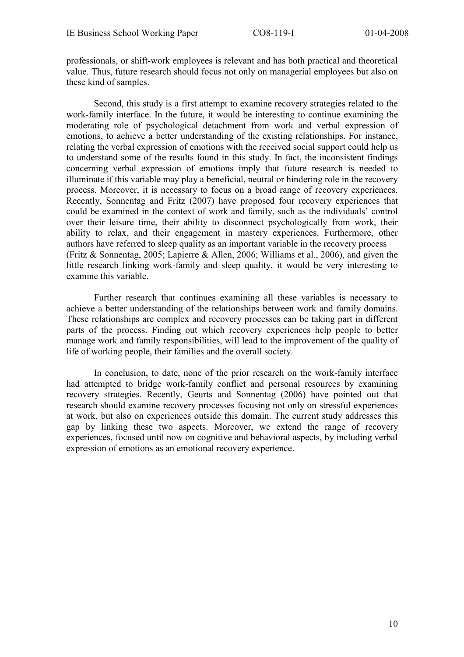professionals, or shift-work employees is relevant and has both practical and theoretical value. Thus, future research should focus not only on managerial employees but also on these kind of samples.

Second, this study is a first attempt to examine recovery strategies related to the work-family interface. In the future, it would be interesting to continue examining the moderating role of psychological detachment from work and verbal expression of emotions, to achieve a better understanding of the existing relationships. For instance, relating the verbal expression of emotions with the received social support could help us to understand some of the results found in this study. In fact, the inconsistent findings concerning verbal expression of emotions imply that future research is needed to illuminate if this variable may play a beneficial, neutral or hindering role in the recovery process. Moreover, it is necessary to focus on a broad range of recovery experiences. Recently, Sonnentag and Fritz (2007) have proposed four recovery experiences that could be examined in the context of work and family, such as the individuals' control over their leisure time, their ability to disconnect psychologically from work, their ability to relax, and their engagement in mastery experiences. Furthermore, other authors have referred to sleep quality as an important variable in the recovery process (Fritz & Sonnentag, 2005; Lapierre & Allen, 2006; Williams et al., 2006), and given the little research linking work-family and sleep quality, it would be very interesting to examine this variable.

Further research that continues examining all these variables is necessary to achieve a better understanding of the relationships between work and family domains. These relationships are complex and recovery processes can be taking part in different parts of the process. Finding out which recovery experiences help people to better manage work and family responsibilities, will lead to the improvement of the quality of life of working people, their families and the overall society.

In conclusion, to date, none of the prior research on the work-family interface had attempted to bridge work-family conflict and personal resources by examining recovery strategies. Recently, Geurts and Sonnentag (2006) have pointed out that research should examine recovery processes focusing not only on stressful experiences at work, but also on experiences outside this domain. The current study addresses this gap by linking these two aspects. Moreover, we extend the range of recovery experiences, focused until now on cognitive and behavioral aspects, by including verbal expression of emotions as an emotional recovery experience.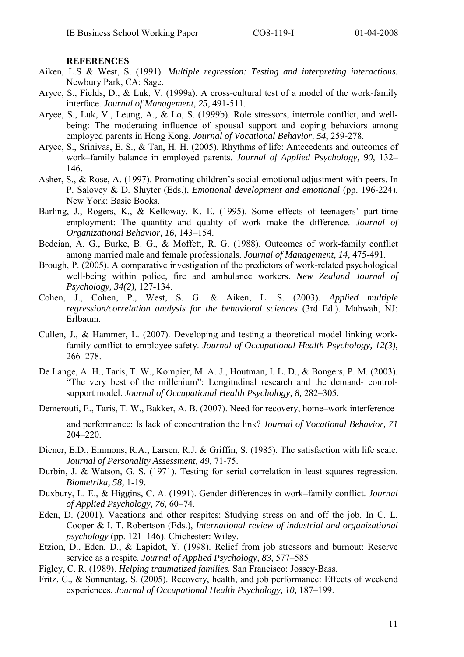#### **REFERENCES**

- Aiken, L.S & West, S. (1991). *Multiple regression: Testing and interpreting interactions.* Newbury Park, CA: Sage.
- Aryee, S., Fields, D., & Luk, V. (1999a). A cross-cultural test of a model of the work-family interface. *Journal of Management, 25*, 491-511.
- Aryee, S., Luk, V., Leung, A., & Lo, S. (1999b). Role stressors, interrole conflict, and wellbeing: The moderating influence of spousal support and coping behaviors among employed parents in Hong Kong. *Journal of Vocational Behavior, 54*, 259-278.
- Aryee, S., Srinivas, E. S., & Tan, H. H. (2005). Rhythms of life: Antecedents and outcomes of work–family balance in employed parents. *Journal of Applied Psychology, 90,* 132– 146.
- Asher, S., & Rose, A. (1997). Promoting children's social-emotional adjustment with peers. In P. Salovey & D. Sluyter (Eds.), *Emotional development and emotional* (pp. 196-224). New York: Basic Books.
- Barling, J., Rogers, K., & Kelloway, K. E. (1995). Some effects of teenagers' part-time employment: The quantity and quality of work make the difference. *Journal of Organizational Behavior, 16, 143-154.*
- Bedeian, A. G., Burke, B. G., & Moffett, R. G. (1988). Outcomes of work-family conflict among married male and female professionals. *Journal of Management, 14*, 475-491.
- Brough, P. (2005). A comparative investigation of the predictors of work-related psychological well-being within police, fire and ambulance workers. *New Zealand Journal of Psychology, 34(2),* 127-134.
- Cohen, J., Cohen, P., West, S. G. & Aiken, L. S. (2003). *Applied multiple regression/correlation analysis for the behavioral sciences* (3rd Ed.). Mahwah, NJ: Erlbaum.
- Cullen, J., & Hammer, L. (2007). Developing and testing a theoretical model linking workfamily conflict to employee safety. *Journal of Occupational Health Psychology, 12(3),*  $266 - 278$ .
- De Lange, A. H., Taris, T. W., Kompier, M. A. J., Houtman, I. L. D., & Bongers, P. M. (2003). ìThe very best of the milleniumî: Longitudinal research and the demand- controlsupport model. *Journal of Occupational Health Psychology, 8, 282–305.*
- Demerouti, E., Taris, T. W., Bakker, A. B. (2007). Need for recovery, home–work interference

 and performance: Is lack of concentration the link? *Journal of Vocational Behavior, 71*  $204 - 220$ .

- Diener, E.D., Emmons, R.A., Larsen, R.J. & Griffin, S. (1985). The satisfaction with life scale. *Journal of Personality Assessment, 49,* 71-75.
- Durbin, J. & Watson, G. S. (1971). Testing for serial correlation in least squares regression. *Biometrika, 58,* 1-19.
- Duxbury, L. E., & Higgins, C. A. (1991). Gender differences in work–family conflict. *Journal of Applied Psychology, 76, 60–74.*
- Eden, D. (2001). Vacations and other respites: Studying stress on and off the job. In C. L. Cooper & I. T. Robertson (Eds.), *International review of industrial and organizational psychology* (pp. 121–146). Chichester: Wiley.
- Etzion, D., Eden, D., & Lapidot, Y. (1998). Relief from job stressors and burnout: Reserve service as a respite. *Journal of Applied Psychology*, 83, 577–585
- Figley, C. R. (1989). *Helping traumatized families.* San Francisco: Jossey-Bass.
- Fritz, C., & Sonnentag, S. (2005). Recovery, health, and job performance: Effects of weekend experiences. *Journal of Occupational Health Psychology, 10, 187–199.*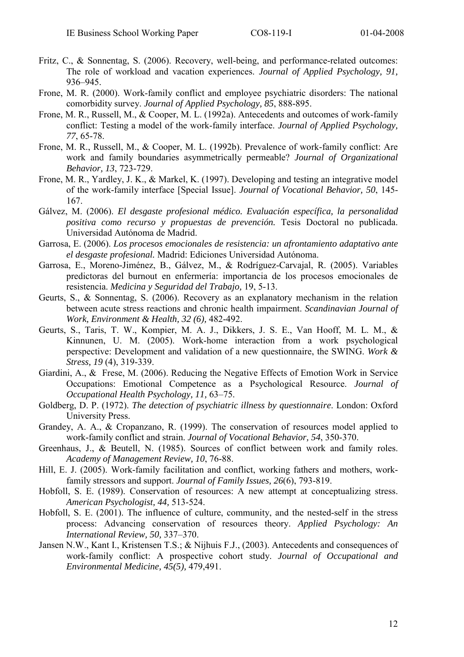- Fritz, C., & Sonnentag, S. (2006). Recovery, well-being, and performance-related outcomes: The role of workload and vacation experiences. *Journal of Applied Psychology, 91,*  $936 - 945$ .
- Frone, M. R. (2000). Work-family conflict and employee psychiatric disorders: The national comorbidity survey. *Journal of Applied Psychology, 85*, 888-895.
- Frone, M. R., Russell, M., & Cooper, M. L. (1992a). Antecedents and outcomes of work-family conflict: Testing a model of the work-family interface. *Journal of Applied Psychology, 77*, 65-78.
- Frone, M. R., Russell, M., & Cooper, M. L. (1992b). Prevalence of work-family conflict: Are work and family boundaries asymmetrically permeable? *Journal of Organizational Behavior, 13*, 723-729.
- Frone, M. R., Yardley, J. K., & Markel, K. (1997). Developing and testing an integrative model of the work-family interface [Special Issue]. *Journal of Vocational Behavior, 50*, 145- 167.
- Gálvez, M. (2006). *El desgaste profesional médico. Evaluación específica, la personalidad positiva como recurso y propuestas de prevención.* Tesis Doctoral no publicada. Universidad Autónoma de Madrid.
- Garrosa, E. (2006). *Los procesos emocionales de resistencia: un afrontamiento adaptativo ante el desgaste profesional. Madrid: Ediciones Universidad Autónoma.*
- Garrosa, E., Moreno-Jiménez, B., Gálvez, M., & Rodríguez-Carvajal, R. (2005). Variables predictoras del burnout en enfermería: importancia de los procesos emocionales de resistencia. *Medicina y Seguridad del Trabajo,* 19, 5-13.
- Geurts, S., & Sonnentag, S. (2006). Recovery as an explanatory mechanism in the relation between acute stress reactions and chronic health impairment. *Scandinavian Journal of Work, Environment & Health, 32 (6),* 482-492.
- Geurts, S., Taris, T. W., Kompier, M. A. J., Dikkers, J. S. E., Van Hooff, M. L. M., & Kinnunen, U. M. (2005). Work-home interaction from a work psychological perspective: Development and validation of a new questionnaire, the SWING. *Work & Stress, 19* (4), 319-339.
- Giardini, A., & Frese, M. (2006). Reducing the Negative Effects of Emotion Work in Service Occupations: Emotional Competence as a Psychological Resource. *Journal of Occupational Health Psychology, 11, 63–75.*
- Goldberg, D. P. (1972). *The detection of psychiatric illness by questionnaire*. London: Oxford University Press.
- Grandey, A. A., & Cropanzano, R. (1999). The conservation of resources model applied to work-family conflict and strain. *Journal of Vocational Behavior, 54*, 350-370.
- Greenhaus, J., & Beutell, N. (1985). Sources of conflict between work and family roles. *Academy of Management Review, 10*, 76-88.
- Hill, E. J. (2005). Work-family facilitation and conflict, working fathers and mothers, workfamily stressors and support. *Journal of Family Issues, 26*(6), 793-819.
- Hobfoll, S. E. (1989). Conservation of resources: A new attempt at conceptualizing stress. *American Psychologist, 44,* 513-524.
- Hobfoll, S. E. (2001). The influence of culture, community, and the nested-self in the stress process: Advancing conservation of resources theory. *Applied Psychology: An International Review, 50, 337–370.*
- Jansen N.W., Kant I., Kristensen T.S.; & Nijhuis F.J., (2003). Antecedents and consequences of work-family conflict: A prospective cohort study. *Journal of Occupational and Environmental Medicine, 45(5),* 479,491.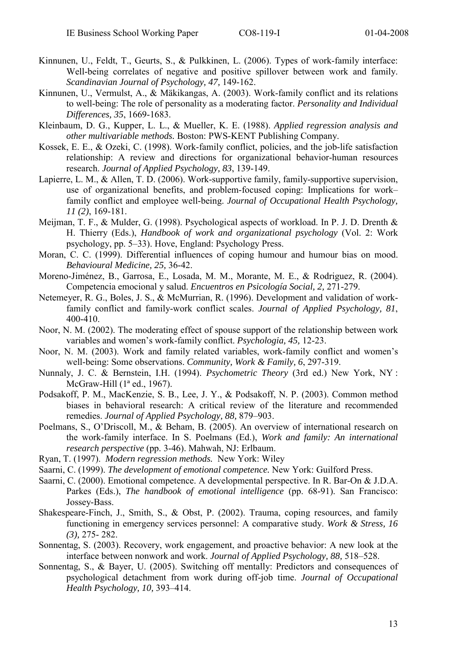- Kinnunen, U., Feldt, T., Geurts, S., & Pulkkinen, L. (2006). Types of work-family interface: Well-being correlates of negative and positive spillover between work and family. *Scandinavian Journal of Psychology, 47,* 149-162.
- Kinnunen, U., Vermulst, A., & Mäkikangas, A. (2003). Work-family conflict and its relations to well-being: The role of personality as a moderating factor. *Personality and Individual Differences, 35*, 1669-1683.
- Kleinbaum, D. G., Kupper, L. L., & Mueller, K. E. (1988). *Applied regression analysis and other multivariable methods.* Boston: PWS-KENT Publishing Company.
- Kossek, E. E., & Ozeki, C. (1998). Work-family conflict, policies, and the job-life satisfaction relationship: A review and directions for organizational behavior-human resources research. *Journal of Applied Psychology, 83*, 139-149.
- Lapierre, L. M., & Allen, T. D. (2006). Work-supportive family, family-supportive supervision, use of organizational benefits, and problem-focused coping: Implications for work– family conflict and employee well-being. *Journal of Occupational Health Psychology, 11 (2)*, 169-181.
- Meijman, T. F., & Mulder, G. (1998). Psychological aspects of workload. In P. J. D. Drenth & H. Thierry (Eds.), *Handbook of work and organizational psychology* (Vol. 2: Work psychology, pp.  $5-33$ ). Hove, England: Psychology Press.
- Moran, C. C. (1999). Differential influences of coping humour and humour bias on mood. *Behavioural Medicine, 25,* 36-42.
- Moreno-JimÈnez, B., Garrosa, E., Losada, M. M., Morante, M. E., & Rodriguez, R. (2004). Competencia emocional y salud. *Encuentros en Psicología Social, 2,* 271-279.
- Netemeyer, R. G., Boles, J. S., & McMurrian, R. (1996). Development and validation of workfamily conflict and family-work conflict scales. *Journal of Applied Psychology, 81*, 400-410.
- Noor, N. M. (2002). The moderating effect of spouse support of the relationship between work variables and women's work-family conflict. *Psychologia*, 45, 12-23.
- Noor, N. M. (2003). Work and family related variables, work-family conflict and women's well-being: Some observations. *Community, Work & Family, 6*, 297-319.
- Nunnaly, J. C. & Bernstein, I.H. (1994). *Psychometric Theory* (3rd ed.) New York, NY : McGraw-Hill  $(1<sup>a</sup>$  ed., 1967).
- Podsakoff, P. M., MacKenzie, S. B., Lee, J. Y., & Podsakoff, N. P. (2003). Common method biases in behavioral research: A critical review of the literature and recommended remedies. *Journal of Applied Psychology, 88, 879–903.*
- Poelmans, S., O'Driscoll, M., & Beham, B. (2005). An overview of international research on the work-family interface. In S. Poelmans (Ed.), *Work and family: An international research perspective* (pp. 3-46). Mahwah, NJ: Erlbaum.
- Ryan, T. (1997). *Modern regression methods.* New York: Wiley
- Saarni, C. (1999). *The development of emotional competence.* New York: Guilford Press.
- Saarni, C. (2000). Emotional competence. A developmental perspective. In R. Bar-On & J.D.A. Parkes (Eds.), *The handbook of emotional intelligence* (pp. 68-91). San Francisco: Jossey-Bass.
- Shakespeare-Finch, J., Smith, S., & Obst, P. (2002). Trauma, coping resources, and family functioning in emergency services personnel: A comparative study. *Work & Stress, 16 (3),* 275- 282.
- Sonnentag, S. (2003). Recovery, work engagement, and proactive behavior: A new look at the interface between nonwork and work. *Journal of Applied Psychology, 88, 518–528.*
- Sonnentag, S., & Bayer, U. (2005). Switching off mentally: Predictors and consequences of psychological detachment from work during off-job time. *Journal of Occupational Health Psychology, 10, 393–414.*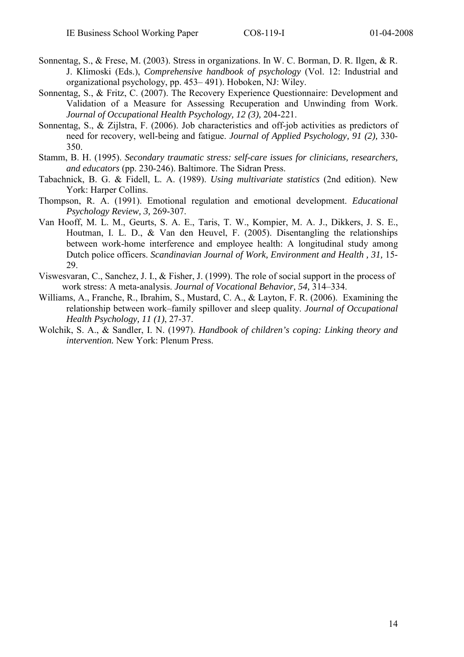- Sonnentag, S., & Frese, M. (2003). Stress in organizations. In W. C. Borman, D. R. Ilgen, & R. J. Klimoski (Eds.), *Comprehensive handbook of psychology* (Vol. 12: Industrial and organizational psychology, pp. 453–491). Hoboken, NJ: Wiley.
- Sonnentag, S., & Fritz, C. (2007). The Recovery Experience Questionnaire: Development and Validation of a Measure for Assessing Recuperation and Unwinding from Work. *Journal of Occupational Health Psychology, 12 (3),* 204-221.
- Sonnentag, S., & Zijlstra, F. (2006). Job characteristics and off-job activities as predictors of need for recovery, well-being and fatigue. *Journal of Applied Psychology, 91 (2),* 330- 350.
- Stamm, B. H. (1995). *Secondary traumatic stress: self-care issues for clinicians, researchers, and educators* (pp. 230-246). Baltimore. The Sidran Press.
- Tabachnick, B. G. & Fidell, L. A. (1989). *Using multivariate statistics* (2nd edition). New York: Harper Collins.
- Thompson, R. A. (1991). Emotional regulation and emotional development. *Educational Psychology Review, 3,* 269-307.
- Van Hooff, M. L. M., Geurts, S. A. E., Taris, T. W., Kompier, M. A. J., Dikkers, J. S. E., Houtman, I. L. D., & Van den Heuvel, F. (2005). Disentangling the relationships between work-home interference and employee health: A longitudinal study among Dutch police officers. *Scandinavian Journal of Work, Environment and Health , 31,* 15- 29.
- Viswesvaran, C., Sanchez, J. I., & Fisher, J. (1999). The role of social support in the process of work stress: A meta-analysis. *Journal of Vocational Behavior*, 54, 314–334.
- Williams, A., Franche, R., Ibrahim, S., Mustard, C. A., & Layton, F. R. (2006). Examining the relationship between work–family spillover and sleep quality. *Journal of Occupational Health Psychology, 11 (1)*, 27-37.
- Wolchik, S. A., & Sandler, I. N. (1997). *Handbook of children's coping: Linking theory and intervention.* New York: Plenum Press.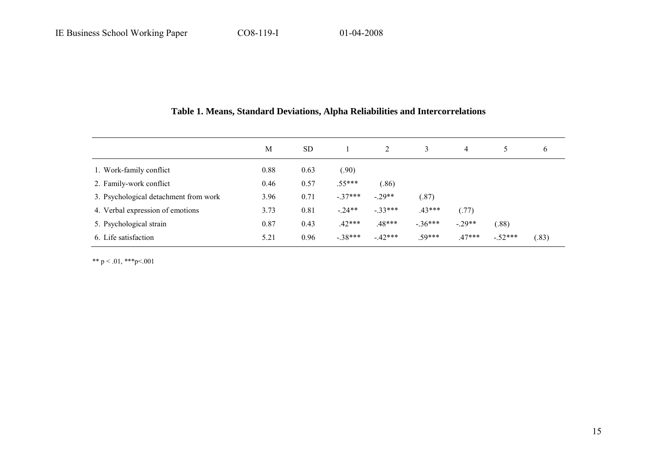|                                       | M    | <b>SD</b> |           | $\overline{2}$ | 3        | 4        |           | 6     |
|---------------------------------------|------|-----------|-----------|----------------|----------|----------|-----------|-------|
| 1. Work-family conflict               | 0.88 | 0.63      | (.90)     |                |          |          |           |       |
| 2. Family-work conflict               | 0.46 | 0.57      | $.55***$  | (.86)          |          |          |           |       |
| 3. Psychological detachment from work | 3.96 | 0.71      | $-.37***$ | $-.29**$       | (.87)    |          |           |       |
| 4. Verbal expression of emotions      | 3.73 | 0.81      | $-24**$   | $-33***$       | $.43***$ | (.77)    |           |       |
| 5. Psychological strain               | 0.87 | 0.43      | $.42***$  | $.48***$       | $-36***$ | $-29**$  | (.88)     |       |
| 6. Life satisfaction                  | 5.21 | 0.96      | $-38***$  | $-42***$       | $.59***$ | $.47***$ | $-.52***$ | (.83) |

# **Table 1. Means, Standard Deviations, Alpha Reliabilities and Intercorrelations**

\*\*  $p < .01$ , \*\*\* $p < .001$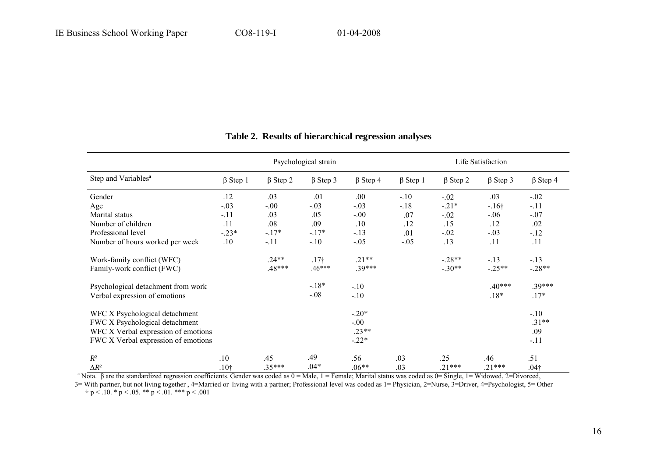| Step and Variables <sup>a</sup>                                     | Psychological strain |                   |                              | Life Satisfaction   |                |                      |                    |                    |
|---------------------------------------------------------------------|----------------------|-------------------|------------------------------|---------------------|----------------|----------------------|--------------------|--------------------|
|                                                                     | $\beta$ Step 1       | $\beta$ Step 2    | $\beta$ Step 3               | $\beta$ Step 4      | $\beta$ Step 1 | $\beta$ Step 2       | $\beta$ Step 3     | $\beta$ Step 4     |
| Gender                                                              | .12                  | .03               | .01                          | .00.                | $-.10$         | $-.02$               | .03                | $-.02$             |
| Age                                                                 | $-.03$               | $-.00$            | $-.03$                       | $-.03$              | $-18$          | $-21*$               | $-16$ †            | $-.11$             |
| Marital status                                                      | $-.11$               | .03               | .05                          | $-.00$              | .07            | $-.02$               | $-06$              | $-.07$             |
| Number of children                                                  | .11                  | .08               | .09                          | .10                 | .12            | .15                  | .12                | .02                |
| Professional level                                                  | $-.23*$              | $-17*$            | $-17*$                       | $-.13$              | .01            | $-.02$               | $-.03$             | $-12$              |
| Number of hours worked per week                                     | .10                  | $-.11$            | $-.10$                       | $-.05$              | $-.05$         | .13                  | .11                | .11                |
| Work-family conflict (WFC)<br>Family-work conflict (FWC)            |                      | $.24**$<br>.48*** | .17 <sub>†</sub><br>$.46***$ | $.21**$<br>$.39***$ |                | $-.28**$<br>$-.30**$ | $-13$<br>$-.25**$  | $-.13$<br>$-.28**$ |
| Psychological detachment from work<br>Verbal expression of emotions |                      |                   | $-18*$<br>$-.08$             | $-.10$<br>$-.10$    |                |                      | $.40***$<br>$.18*$ | $.39***$<br>$.17*$ |
| WFC X Psychological detachment                                      |                      |                   |                              | $-.20*$             |                |                      |                    | $-.10$             |
| FWC X Psychological detachment                                      |                      |                   |                              | $-.00$              |                |                      |                    | $.31**$            |
| WFC X Verbal expression of emotions                                 |                      |                   |                              | $.23**$             |                |                      |                    | .09                |
| FWC X Verbal expression of emotions                                 |                      |                   |                              | $-.22*$             |                |                      |                    | $-.11$             |
| $\mathbb{R}^2$                                                      | .10                  | .45               | .49                          | .56                 | .03            | .25                  | .46                | .51                |
| $\Delta R^2$                                                        | .10 <sup>†</sup>     | $.35***$          | $.04*$                       | $.06**$             | .03            | $.21***$             | $.21***$           | $.04\dagger$       |

# **Table 2. Results of hierarchical regression analyses**

<sup>a</sup> Nota. β are the standardized regression coefficients. Gender was coded as  $0 =$ Male, 1 = Female; Marital status was coded as 0= Single, 1= Widowed, 2=Divorced, 3= With partner, but not living together , 4=Married or living with a partner; Professional level was coded as 1= Physician, 2=Nurse, 3=Driver, 4=Psychologist, 5= Other

† p < .10. \* p < .05. \*\* p < .01. \*\*\* p < .001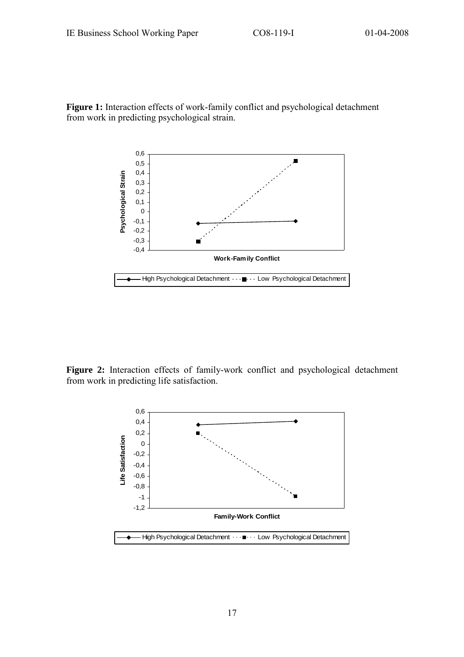**Figure 1:** Interaction effects of work-family conflict and psychological detachment from work in predicting psychological strain.



**Figure 2:** Interaction effects of family-work conflict and psychological detachment from work in predicting life satisfaction.